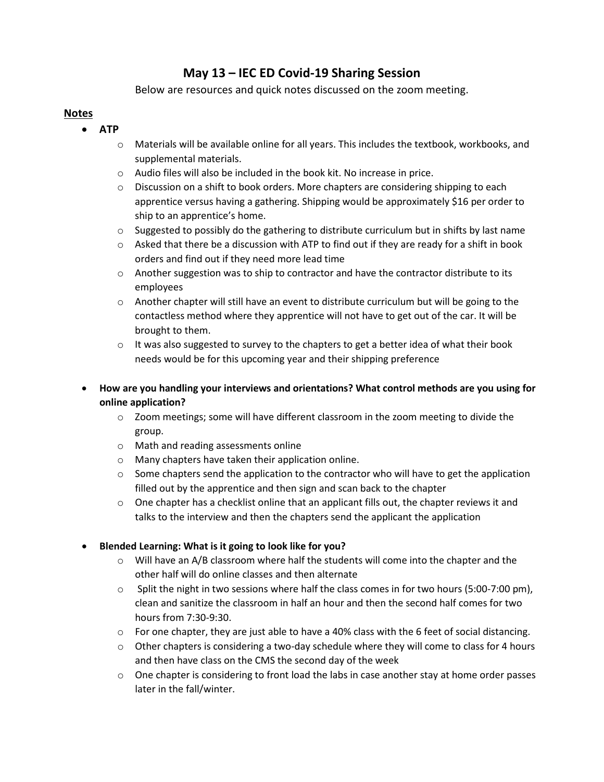# **May 13 – IEC ED Covid-19 Sharing Session**

Below are resources and quick notes discussed on the zoom meeting.

## **Notes**

- **ATP**
	- o Materials will be available online for all years. This includes the textbook, workbooks, and supplemental materials.
	- o Audio files will also be included in the book kit. No increase in price.
	- $\circ$  Discussion on a shift to book orders. More chapters are considering shipping to each apprentice versus having a gathering. Shipping would be approximately \$16 per order to ship to an apprentice's home.
	- $\circ$  Suggested to possibly do the gathering to distribute curriculum but in shifts by last name
	- $\circ$  Asked that there be a discussion with ATP to find out if they are ready for a shift in book orders and find out if they need more lead time
	- $\circ$  Another suggestion was to ship to contractor and have the contractor distribute to its employees
	- $\circ$  Another chapter will still have an event to distribute curriculum but will be going to the contactless method where they apprentice will not have to get out of the car. It will be brought to them.
	- $\circ$  It was also suggested to survey to the chapters to get a better idea of what their book needs would be for this upcoming year and their shipping preference
	- **How are you handling your interviews and orientations? What control methods are you using for online application?**
		- $\circ$  Zoom meetings; some will have different classroom in the zoom meeting to divide the group.
		- o Math and reading assessments online
		- o Many chapters have taken their application online.
		- $\circ$  Some chapters send the application to the contractor who will have to get the application filled out by the apprentice and then sign and scan back to the chapter
		- $\circ$  One chapter has a checklist online that an applicant fills out, the chapter reviews it and talks to the interview and then the chapters send the applicant the application

### • **Blended Learning: What is it going to look like for you?**

- $\circ$  Will have an A/B classroom where half the students will come into the chapter and the other half will do online classes and then alternate
- $\circ$  Split the night in two sessions where half the class comes in for two hours (5:00-7:00 pm), clean and sanitize the classroom in half an hour and then the second half comes for two hours from 7:30-9:30.
- $\circ$  For one chapter, they are just able to have a 40% class with the 6 feet of social distancing.
- $\circ$  Other chapters is considering a two-day schedule where they will come to class for 4 hours and then have class on the CMS the second day of the week
- $\circ$  One chapter is considering to front load the labs in case another stay at home order passes later in the fall/winter.